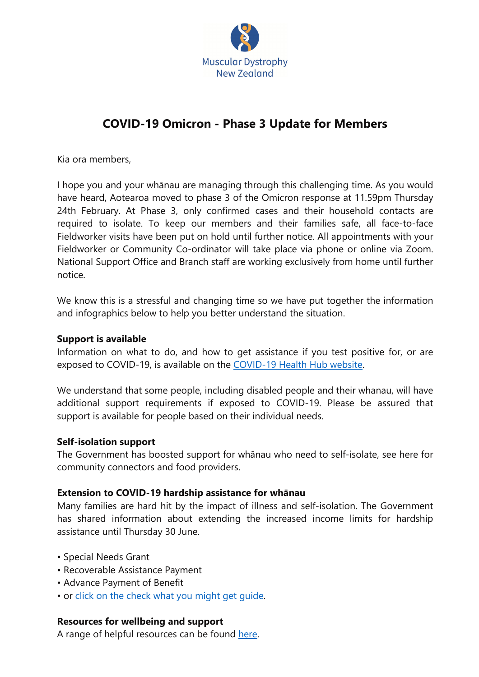

# **COVID-19 Omicron - Phase 3 Update for Members**

Kia ora members,

I hope you and your whānau are managing through this challenging time. As you would have heard, Aotearoa moved to phase 3 of the Omicron response at 11.59pm Thursday 24th February. At Phase 3, only confirmed cases and their household contacts are required to isolate. To keep our members and their families safe, all face-to-face Fieldworker visits have been put on hold until further notice. All appointments with your Fieldworker or Community Co-ordinator will take place via phone or online via Zoom. National Support Office and Branch staff are working exclusively from home until further notice.

We know this is a stressful and changing time so we have put together the information and infographics below to help you better understand the situation.

## **Support is available**

Information on what to do, and how to get assistance if you test positive for, or are exposed to COVID-19, is available on the COVID-19 Health Hub website.

We understand that some people, including disabled people and their whanau, will have additional support requirements if exposed to COVID-19. Please be assured that support is available for people based on their individual needs.

### **Self-isolation support**

The Government has boosted support for whānau who need to self-isolate, see here for community connectors and food providers.

### **Extension to COVID-19 hardship assistance for whānau**

Many families are hard hit by the impact of illness and self-isolation. The Government has shared information about extending the increased income limits for hardship assistance until Thursday 30 June.

- Special Needs Grant
- Recoverable Assistance Payment
- Advance Payment of Benefit
- or click on the check what you might get quide.

### **Resources for wellbeing and support**

A range of helpful resources can be found here.